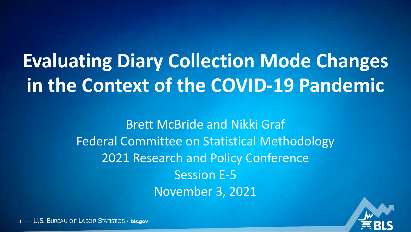# **Evaluating Diary Collection Mode Changes in the Context of the COVID-19 Pandemic**

Brett McBride and Nikki Graf Federal Committee on Statistical Methodology 2021 Research and Policy Conference Session E-5 November 3, 2021



1 — U.S. BUREAU OF LABOR STATISTICS • **bls.gov**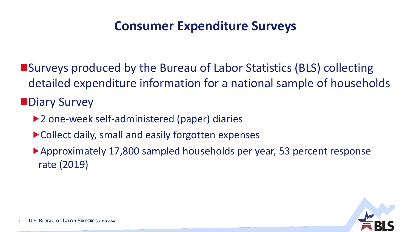#### **Consumer Expenditure Surveys**

■Surveys produced by the Bureau of Labor Statistics (BLS) collecting detailed expenditure information for a national sample of households **Diary Survey** 

- ▶ 2 one-week self-administered (paper) diaries
- ▶ Collect daily, small and easily forgotten expenses
- Approximately 17,800 sampled households per year, 53 percent response rate (2019)

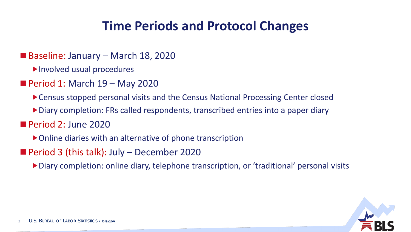#### **Time Periods and Protocol Changes**

- Baseline: January March 18, 2020
	- Involved usual procedures
- Period 1: March 19 May 2020
	- Census stopped personal visits and the Census National Processing Center closed
	- Diary completion: FRs called respondents, transcribed entries into a paper diary
- Period 2: June 2020
	- Online diaries with an alternative of phone transcription
- **Period 3 (this talk): July December 2020** 
	- Diary completion: online diary, telephone transcription, or 'traditional' personal visits

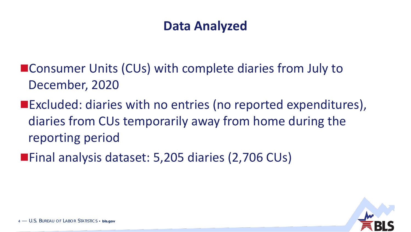#### **Data Analyzed**

- Consumer Units (CUs) with complete diaries from July to December, 2020
- ■Excluded: diaries with no entries (no reported expenditures), diaries from CUs temporarily away from home during the reporting period
- ■Final analysis dataset: 5,205 diaries (2,706 CUs)

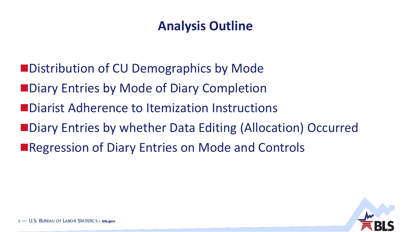#### **Analysis Outline**

- **Net Distribution of CU Demographics by Mode**
- **Node of Diary Completion**
- **ODIA Diarist Adherence to Itemization Instructions**
- ■Diary Entries by whether Data Editing (Allocation) Occurred
- ■Regression of Diary Entries on Mode and Controls

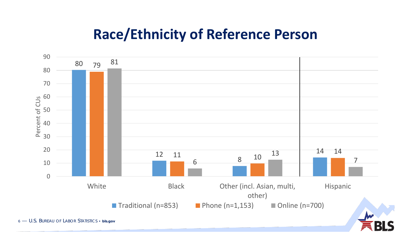## **Race/Ethnicity of Reference Person**



— U.S. BUREAU OF LABOR STATISTICS • **bls.gov**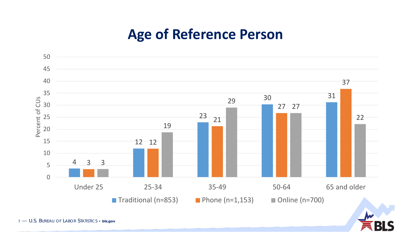# **Age of Reference Person**



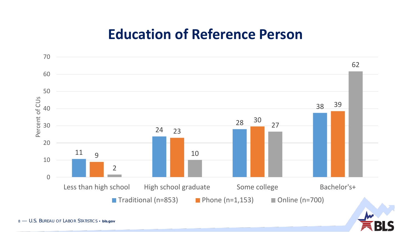### **Education of Reference Person**

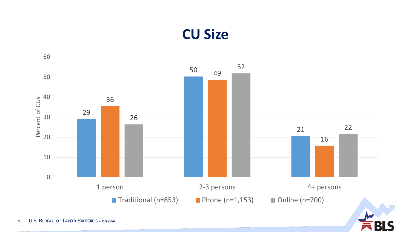# **CU Size**

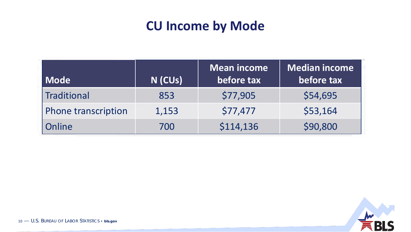#### **CU Income by Mode**

| <b>Mode</b>                | N (CUs) | <b>Mean income</b><br>before tax | Median income<br>before tax |
|----------------------------|---------|----------------------------------|-----------------------------|
| Traditional                | 853     | \$77,905                         | \$54,695                    |
| <b>Phone transcription</b> | 1,153   | \$77,477                         | \$53,164                    |
| Online                     | 700     | \$114,136                        | \$90,800                    |

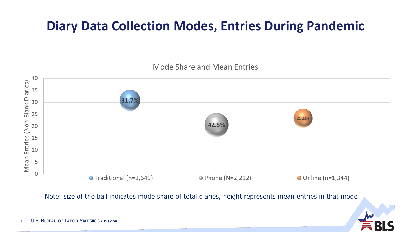#### **Diary Data Collection Modes, Entries During Pandemic**

Mode Share and Mean Entries



Note: size of the ball indicates mode share of total diaries, height represents mean entries in that mode

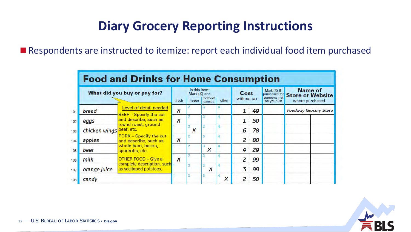#### **Diary Grocery Reporting Instructions**

■ Respondents are instructed to itemize: report each individual food item purchased

|                          | What did you buy or pay for?                            | fresh            | Is this item:<br>Mark (X) one<br>frozen | bottled/<br>canned | other | Cost<br>without tax |    | Mark (X) If<br>someone not<br>on your list | Name of<br>purchased for Store or Website<br>where purchased |  |
|--------------------------|---------------------------------------------------------|------------------|-----------------------------------------|--------------------|-------|---------------------|----|--------------------------------------------|--------------------------------------------------------------|--|
| bread                    | Level of detail needed<br><b>BEEF</b> - Specify the cut | $\boldsymbol{X}$ |                                         |                    |       |                     | 49 |                                            | <b>Foodway Grocery Store</b>                                 |  |
| eggs                     | and describe, such as<br>round roast, ground            | X                |                                         |                    |       |                     | 50 |                                            |                                                              |  |
| chicken wings beef, etc. |                                                         |                  | $\boldsymbol{\mathsf{x}}$               |                    |       | 6                   | 78 |                                            |                                                              |  |
| apples                   | PORK - Specify the cut<br>and describe, such as         | X                | 2                                       |                    |       | 2                   | 80 |                                            |                                                              |  |
| beer                     | whole ham, bacon,<br>spareribs, etc.                    |                  |                                         | ۹<br>x             |       | 4                   | 29 |                                            |                                                              |  |
| milk                     | OTHER FOOD - Give a                                     | $\boldsymbol{x}$ |                                         |                    |       | 2                   | 99 |                                            |                                                              |  |
| orange juice             | complete description, such<br>as scalloped potatoes.    |                  |                                         | X                  |       | $\overline{3}$      | 99 |                                            |                                                              |  |
| candy                    |                                                         |                  |                                         |                    | ×     |                     | 50 |                                            |                                                              |  |

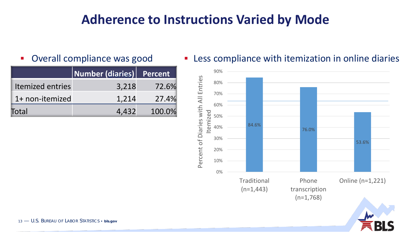#### **Adherence to Instructions Varied by Mode**

|                         | Number (diaries) Percent |        |
|-------------------------|--------------------------|--------|
| <b>Itemized entries</b> | 3,218                    | 72.6%  |
| 1+ non-itemized         | 1,214                    | 27.4%  |
| Total                   | 4,432                    | 100.0% |

**Diverall compliance was good Less compliance with itemization in online diaries** 

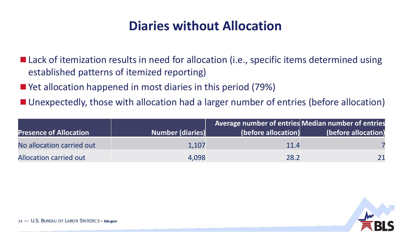#### **Diaries without Allocation**

■ Lack of itemization results in need for allocation (i.e., specific items determined using established patterns of itemized reporting)

- Yet allocation happened in most diaries in this period (79%)
- Unexpectedly, those with allocation had a larger number of entries (before allocation)

|                               |                         | Average number of entries Median number of entries |                     |
|-------------------------------|-------------------------|----------------------------------------------------|---------------------|
| <b>Presence of Allocation</b> | <b>Number (diaries)</b> | (before allocation)                                | (before allocation) |
| No allocation carried out     | 1,107                   | 11.4                                               |                     |
| Allocation carried out        | 4,098                   | 28.2                                               |                     |

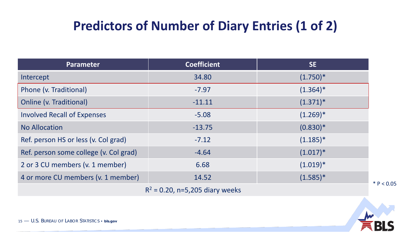| <b>Parameter</b>                       | <b>Coefficient</b> | <b>SE</b>   |  |
|----------------------------------------|--------------------|-------------|--|
| Intercept                              | 34.80              | $(1.750)^*$ |  |
| Phone (v. Traditional)                 | $-7.97$            | $(1.364)^*$ |  |
| <b>Online (v. Traditional)</b>         | $-11.11$           | $(1.371)^*$ |  |
| <b>Involved Recall of Expenses</b>     | $-5.08$            | $(1.269)^*$ |  |
| <b>No Allocation</b>                   | $-13.75$           | $(0.830)*$  |  |
| Ref. person HS or less (v. Col grad)   | $-7.12$            | $(1.185)^*$ |  |
| Ref. person some college (v. Col grad) | $-4.64$            | $(1.017)^*$ |  |
| 2 or 3 CU members (v. 1 member)        | 6.68               | $(1.019)^*$ |  |
| 4 or more CU members (v. 1 member)     | 14.52              | $(1.585)^*$ |  |
| $R^2$ = 0.20, n=5,205 diary weeks      |                    |             |  |

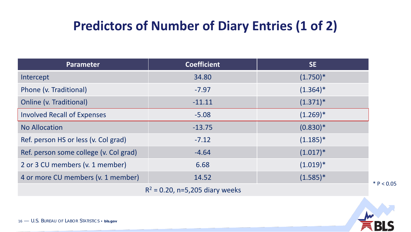| <b>Parameter</b>                       | <b>Coefficient</b> | SE          |  |
|----------------------------------------|--------------------|-------------|--|
| Intercept                              | 34.80              | $(1.750)^*$ |  |
| Phone (v. Traditional)                 | $-7.97$            | $(1.364)^*$ |  |
| <b>Online (v. Traditional)</b>         | $-11.11$           | $(1.371)^*$ |  |
| <b>Involved Recall of Expenses</b>     | $-5.08$            | $(1.269)^*$ |  |
| <b>No Allocation</b>                   | $-13.75$           | $(0.830)*$  |  |
| Ref. person HS or less (v. Col grad)   | $-7.12$            | $(1.185)^*$ |  |
| Ref. person some college (v. Col grad) | $-4.64$            | $(1.017)^*$ |  |
| 2 or 3 CU members (v. 1 member)        | 6.68               | $(1.019)^*$ |  |
| 4 or more CU members (v. 1 member)     | 14.52              | $(1.585)^*$ |  |
| $R^2$ = 0.20, n=5,205 diary weeks      |                    |             |  |

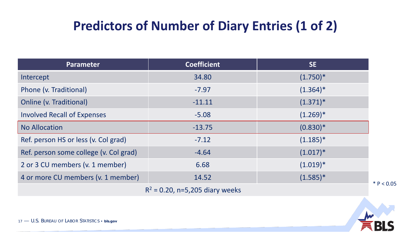| Parameter                              | <b>Coefficient</b> | SE          |  |
|----------------------------------------|--------------------|-------------|--|
| Intercept                              | 34.80              | $(1.750)^*$ |  |
| Phone (v. Traditional)                 | $-7.97$            | $(1.364)^*$ |  |
| Online (v. Traditional)                | $-11.11$           | $(1.371)^*$ |  |
| <b>Involved Recall of Expenses</b>     | $-5.08$            | $(1.269)^*$ |  |
| <b>No Allocation</b>                   | $-13.75$           | $(0.830)*$  |  |
| Ref. person HS or less (v. Col grad)   | $-7.12$            | $(1.185)^*$ |  |
| Ref. person some college (v. Col grad) | $-4.64$            | $(1.017)^*$ |  |
| 2 or 3 CU members (v. 1 member)        | 6.68               | $(1.019)^*$ |  |
| 4 or more CU members (v. 1 member)     | 14.52              | $(1.585)^*$ |  |
| $R^2$ = 0.20, n=5,205 diary weeks      |                    |             |  |

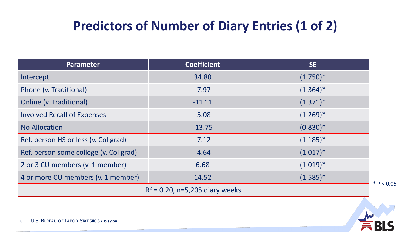| Parameter                              | <b>Coefficient</b> | SE          |  |
|----------------------------------------|--------------------|-------------|--|
| Intercept                              | 34.80              | $(1.750)^*$ |  |
| Phone (v. Traditional)                 | $-7.97$            | $(1.364)^*$ |  |
| Online (v. Traditional)                | $-11.11$           | $(1.371)^*$ |  |
| <b>Involved Recall of Expenses</b>     | $-5.08$            | $(1.269)^*$ |  |
| <b>No Allocation</b>                   | $-13.75$           | $(0.830)*$  |  |
| Ref. person HS or less (v. Col grad)   | $-7.12$            | $(1.185)^*$ |  |
| Ref. person some college (v. Col grad) | $-4.64$            | $(1.017)^*$ |  |
| 2 or 3 CU members (v. 1 member)        | 6.68               | $(1.019)^*$ |  |
| 4 or more CU members (v. 1 member)     | 14.52              | $(1.585)^*$ |  |
| $R^2$ = 0.20, n=5,205 diary weeks      |                    |             |  |

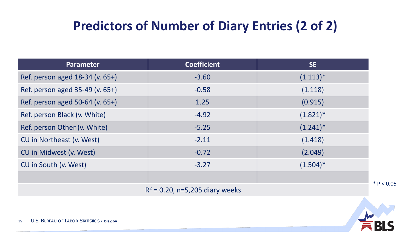| <b>Parameter</b>                  | <b>Coefficient</b> | SE          |  |  |
|-----------------------------------|--------------------|-------------|--|--|
| Ref. person aged 18-34 (v. 65+)   | $-3.60$            | $(1.113)^*$ |  |  |
| Ref. person aged 35-49 (v. 65+)   | $-0.58$            | (1.118)     |  |  |
| Ref. person aged 50-64 (v. 65+)   | 1.25               | (0.915)     |  |  |
| Ref. person Black (v. White)      | $-4.92$            | $(1.821)^*$ |  |  |
| Ref. person Other (v. White)      | $-5.25$            | $(1.241)^*$ |  |  |
| CU in Northeast (v. West)         | $-2.11$            | (1.418)     |  |  |
| CU in Midwest (v. West)           | $-0.72$            | (2.049)     |  |  |
| CU in South (v. West)             | $-3.27$            | $(1.504)^*$ |  |  |
|                                   |                    |             |  |  |
| $R^2$ = 0.20, n=5,205 diary weeks |                    |             |  |  |

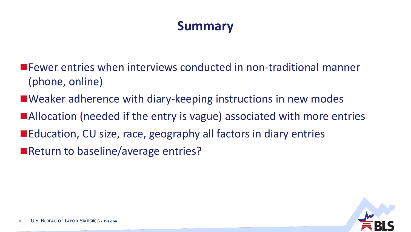#### **Summary**

- Fewer entries when interviews conducted in non-traditional manner (phone, online)
- Weaker adherence with diary-keeping instructions in new modes
- ■Allocation (needed if the entry is vague) associated with more entries
- Education, CU size, race, geography all factors in diary entries
- Return to baseline/average entries?